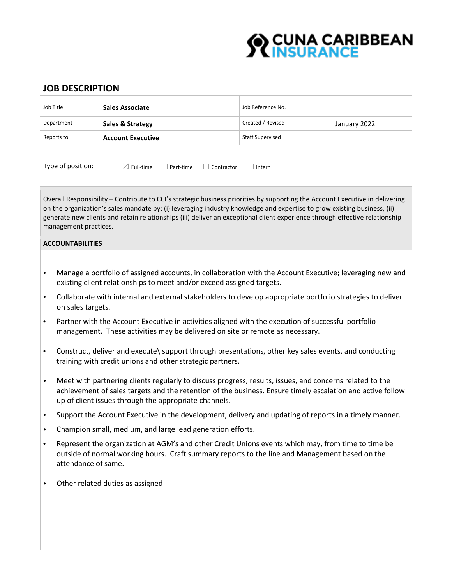# **O CUNA CARIBBEAN<br>SEINSURANCE**

## **JOB DESCRIPTION**

| Job Title  | Sales Associate          | Job Reference No.       |              |
|------------|--------------------------|-------------------------|--------------|
| Department | Sales & Strategy         | Created / Revised       | January 2022 |
| Reports to | <b>Account Executive</b> | <b>Staff Supervised</b> |              |
|            |                          |                         |              |

| Type of position: | $\boxtimes$ Full-time $\Box$ Part-time $\Box$ Contractor |  | Intern |  |
|-------------------|----------------------------------------------------------|--|--------|--|
|-------------------|----------------------------------------------------------|--|--------|--|

Overall Responsibility – Contribute to CCI's strategic business priorities by supporting the Account Executive in delivering on the organization's sales mandate by: (i) leveraging industry knowledge and expertise to grow existing business, (ii) generate new clients and retain relationships (iii) deliver an exceptional client experience through effective relationship management practices.

### **ACCOUNTABILITIES**

- Manage a portfolio of assigned accounts, in collaboration with the Account Executive; leveraging new and existing client relationships to meet and/or exceed assigned targets.
- Collaborate with internal and external stakeholders to develop appropriate portfolio strategies to deliver on sales targets.
- Partner with the Account Executive in activities aligned with the execution of successful portfolio management. These activities may be delivered on site or remote as necessary.
- Construct, deliver and execute\ support through presentations, other key sales events, and conducting training with credit unions and other strategic partners.
- Meet with partnering clients regularly to discuss progress, results, issues, and concerns related to the achievement of sales targets and the retention of the business. Ensure timely escalation and active follow up of client issues through the appropriate channels.
- Support the Account Executive in the development, delivery and updating of reports in a timely manner.
- Champion small, medium, and large lead generation efforts.
- Represent the organization at AGM's and other Credit Unions events which may, from time to time be outside of normal working hours. Craft summary reports to the line and Management based on the attendance of same.
- Other related duties as assigned